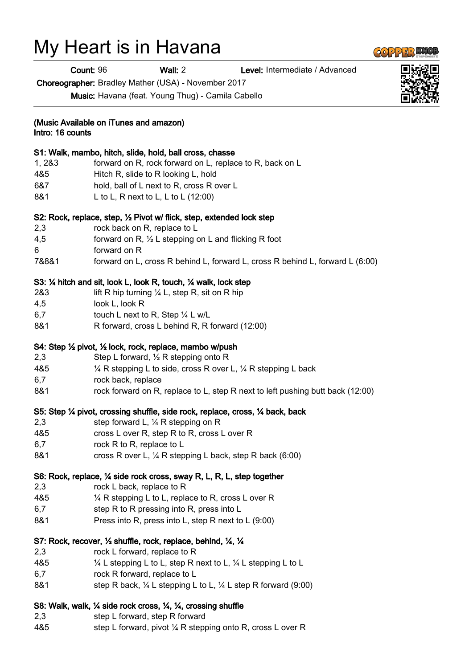# My Heart is in Havana

Count: 96 Wall: 2 Level: Intermediate / Advanced

Choreographer: Bradley Mather (USA) - November 2017

Music: Havana (feat. Young Thug) - Camila Cabello

## (Music Available on iTunes and amazon)

Intro: 16 counts

#### S1: Walk, mambo, hitch, slide, hold, ball cross, chasse

- 1, 2&3 forward on R, rock forward on L, replace to R, back on L
- 4&5 Hitch R, slide to R looking L, hold
- 6&7 hold, ball of L next to R, cross R over L
- 8&1 L to L, R next to L, L to L (12:00)

#### S2: Rock, replace, step, ½ Pivot w/ flick, step, extended lock step

- 2,3 rock back on R, replace to L
- 4,5 forward on R,  $\frac{1}{2}$  L stepping on L and flicking R foot
- 6 forward on R
- 7&8&1 forward on L, cross R behind L, forward L, cross R behind L, forward L (6:00)

## S3: ¼ hitch and sit, look L, look R, touch, ¼ walk, lock step

- 2&3 lift R hip turning  $\frac{1}{4}$  L, step R, sit on R hip
- 4,5 look L, look R
- 6,7 touch L next to R, Step ¼ L w/L
- 8&1 R forward, cross L behind R, R forward (12:00)

#### S4: Step ½ pivot, ½ lock, rock, replace, mambo w/push

- 2,3 Step L forward, ½ R stepping onto R
- 4&5 ¼ R stepping L to side, cross R over L, ¼ R stepping L back
- 6,7 rock back, replace
- 8&1 rock forward on R, replace to L, step R next to left pushing butt back (12:00)

#### S5: Step ¼ pivot, crossing shuffle, side rock, replace, cross, ¼ back, back

- 2.3 step forward L, 1/4 R stepping on R
- 4&5 cross L over R, step R to R, cross L over R
- 6,7 rock R to R, replace to L
- 8&1 cross R over L, 1/4 R stepping L back, step R back (6:00)

#### S6: Rock, replace, ¼ side rock cross, sway R, L, R, L, step together

- 2,3 rock L back, replace to R
- 4&5 ¼ R stepping L to L, replace to R, cross L over R
- 6,7 step R to R pressing into R, press into L
- 8&1 Press into R, press into L, step R next to L (9:00)

# S7: Rock, recover, ½ shuffle, rock, replace, behind, ¼, ¼

- 2,3 rock L forward, replace to R
- 4&5 ¼ L stepping L to L, step R next to L, ¼ L stepping L to L
- 6,7 rock R forward, replace to L
- 8&1 step R back, ¼ L stepping L to L, ¼ L step R forward (9:00)

# S8: Walk, walk, ¼ side rock cross, ¼, ¼, crossing shuffle

- 2,3 step L forward, step R forward
- 4&5 step L forward, pivot ¼ R stepping onto R, cross L over R